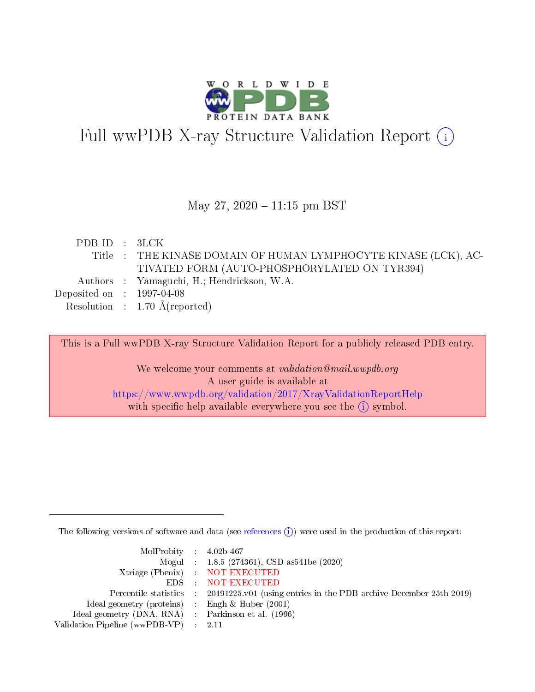

# Full wwPDB X-ray Structure Validation Report (i)

### May 27,  $2020 - 11:15$  pm BST

| PDBID : 3LCK                |                                                                |
|-----------------------------|----------------------------------------------------------------|
|                             | Title: THE KINASE DOMAIN OF HUMAN LYMPHOCYTE KINASE (LCK), AC- |
|                             | TIVATED FORM (AUTO-PHOSPHORYLATED ON TYR394)                   |
|                             | Authors : Yamaguchi, H.; Hendrickson, W.A.                     |
| Deposited on : $1997-04-08$ |                                                                |
|                             | Resolution : $1.70 \text{ Å}$ (reported)                       |
|                             |                                                                |

This is a Full wwPDB X-ray Structure Validation Report for a publicly released PDB entry.

We welcome your comments at validation@mail.wwpdb.org A user guide is available at <https://www.wwpdb.org/validation/2017/XrayValidationReportHelp> with specific help available everywhere you see the  $(i)$  symbol.

The following versions of software and data (see [references](https://www.wwpdb.org/validation/2017/XrayValidationReportHelp#references)  $(i)$ ) were used in the production of this report:

| $MolProbability$ 4.02b-467                          |                                                                                            |
|-----------------------------------------------------|--------------------------------------------------------------------------------------------|
|                                                     | Mogul : $1.8.5$ (274361), CSD as 541be (2020)                                              |
|                                                     | Xtriage (Phenix) NOT EXECUTED                                                              |
|                                                     | EDS NOT EXECUTED                                                                           |
|                                                     | Percentile statistics : 20191225.v01 (using entries in the PDB archive December 25th 2019) |
| Ideal geometry (proteins) :                         | Engh & Huber $(2001)$                                                                      |
| Ideal geometry (DNA, RNA) : Parkinson et al. (1996) |                                                                                            |
| Validation Pipeline (wwPDB-VP)                      | - 2.11                                                                                     |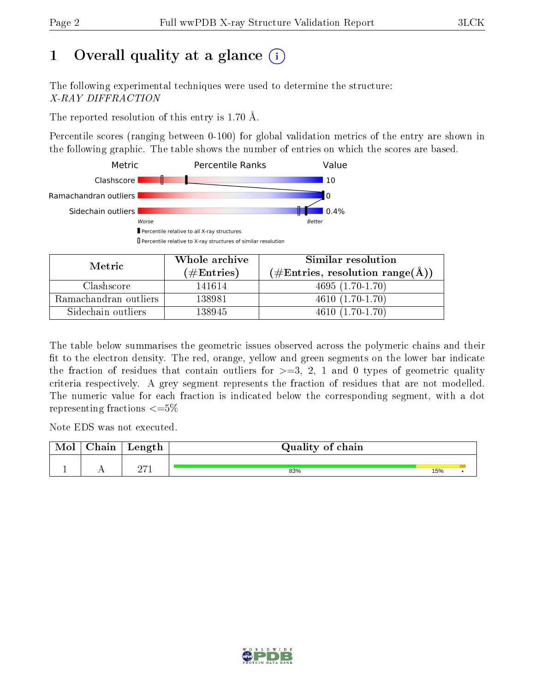# 1 [O](https://www.wwpdb.org/validation/2017/XrayValidationReportHelp#overall_quality)verall quality at a glance  $(i)$

The following experimental techniques were used to determine the structure: X-RAY DIFFRACTION

The reported resolution of this entry is 1.70 Å.

Percentile scores (ranging between 0-100) for global validation metrics of the entry are shown in the following graphic. The table shows the number of entries on which the scores are based.



| Metric                | Whole archive<br>(# $\rm{Entries}$ ) | Similar resolution<br>$(\#\text{Entries}, \text{resolution range}(\text{\AA}) )$ |
|-----------------------|--------------------------------------|----------------------------------------------------------------------------------|
| Clashscore            | 141614                               | $4695(1.70-1.70)$                                                                |
| Ramachandran outliers | 138981                               | $4610(1.70-1.70)$                                                                |
| Sidechain outliers    | 138945                               | $4610(1.70-1.70)$                                                                |

The table below summarises the geometric issues observed across the polymeric chains and their fit to the electron density. The red, orange, yellow and green segments on the lower bar indicate the fraction of residues that contain outliers for  $\geq=3$ , 2, 1 and 0 types of geometric quality criteria respectively. A grey segment represents the fraction of residues that are not modelled. The numeric value for each fraction is indicated below the corresponding segment, with a dot representing fractions  $\leq=5\%$ 

Note EDS was not executed.

| Mol | $\gamma$ hain | Length | Quality of chain |     |  |
|-----|---------------|--------|------------------|-----|--|
|     |               | 0.71   |                  |     |  |
|     |               |        | 83%              | 15% |  |

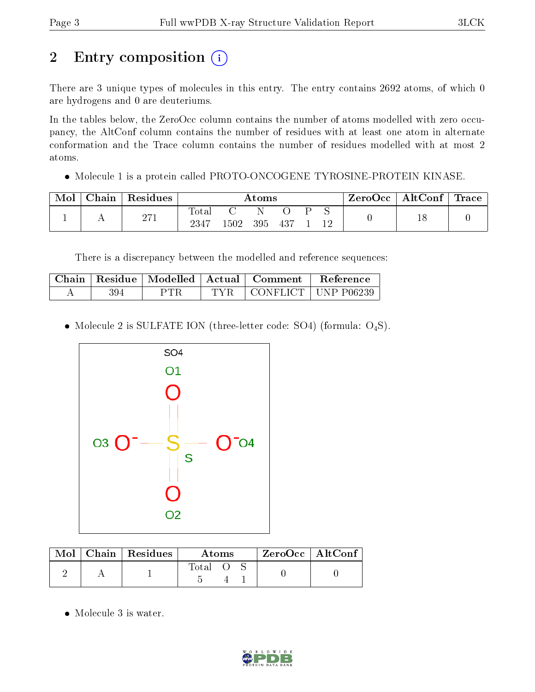# 2 Entry composition (i)

There are 3 unique types of molecules in this entry. The entry contains 2692 atoms, of which 0 are hydrogens and 0 are deuteriums.

In the tables below, the ZeroOcc column contains the number of atoms modelled with zero occupancy, the AltConf column contains the number of residues with at least one atom in alternate conformation and the Trace column contains the number of residues modelled with at most 2 atoms.

Molecule 1 is a protein called PROTO-ONCOGENE TYROSINE-PROTEIN KINASE.

| $\mathbf{Mo}^{\mathbf{I}}$ | $\cap$ hain | Residues   | $\rm{Atoms}$  |      |     |        | $\mid$ ZeroOcc $\mid$ AltConf $\mid$ Trace $\mid$ |  |  |  |
|----------------------------|-------------|------------|---------------|------|-----|--------|---------------------------------------------------|--|--|--|
|                            |             | 271<br>211 | Total<br>2347 | 1502 | 395 | $-437$ |                                                   |  |  |  |

There is a discrepancy between the modelled and reference sequences:

|     | Chain   Residue   Modelled | Actual | Comment | <b>Reference</b>            |
|-----|----------------------------|--------|---------|-----------------------------|
| 394 | PTR                        | TVR.   |         | CONFLICT $\vert$ UNP P06239 |

• Molecule 2 is SULFATE ION (three-letter code: SO4) (formula:  $O_4S$ ).



| $\text{Mol}$ | $\mid$ Chain $\mid$ Residues $\mid$ | Atoms |  |  | $ZeroOcc$   AltConf |  |
|--------------|-------------------------------------|-------|--|--|---------------------|--|
|              |                                     | Total |  |  |                     |  |

• Molecule 3 is water.

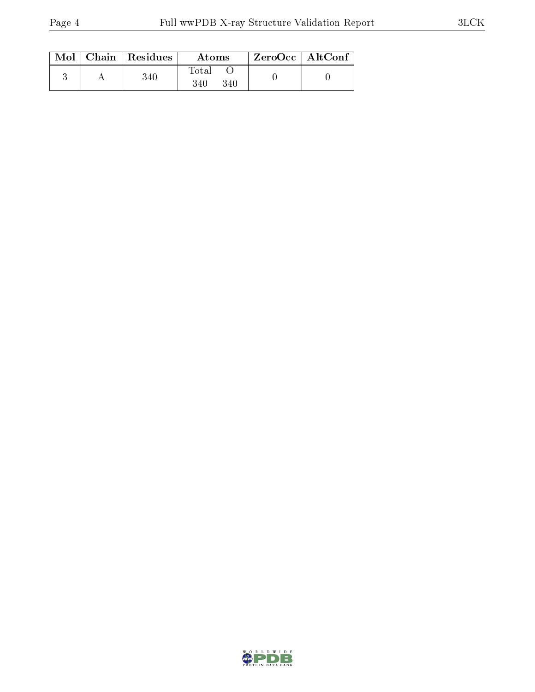|  | $\text{Mol}$   Chain   Residues | Atoms               | $\rm ZeroOcc \mid AltConf$ |  |
|--|---------------------------------|---------------------|----------------------------|--|
|  | 340                             | Total<br>340<br>340 |                            |  |

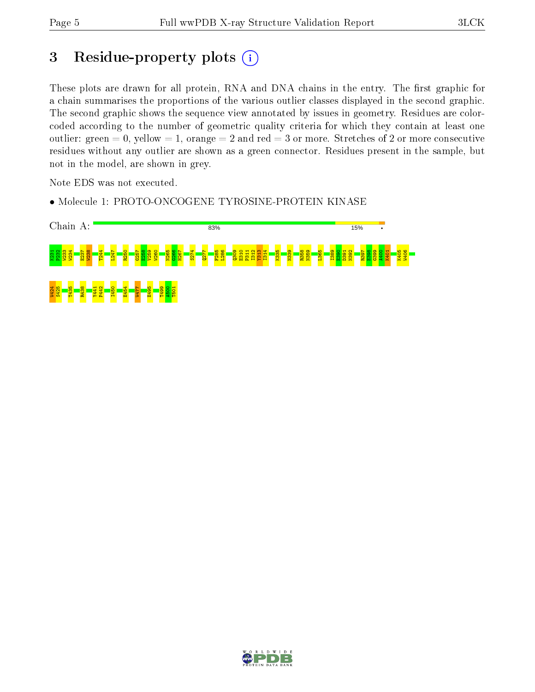# 3 Residue-property plots (i)

These plots are drawn for all protein, RNA and DNA chains in the entry. The first graphic for a chain summarises the proportions of the various outlier classes displayed in the second graphic. The second graphic shows the sequence view annotated by issues in geometry. Residues are colorcoded according to the number of geometric quality criteria for which they contain at least one outlier: green  $= 0$ , yellow  $= 1$ , orange  $= 2$  and red  $= 3$  or more. Stretches of 2 or more consecutive residues without any outlier are shown as a green connector. Residues present in the sample, but not in the model, are shown in grey.

Note EDS was not executed.

• Molecule 1: PROTO-ONCOGENE TYROSINE-PROTEIN KINASE



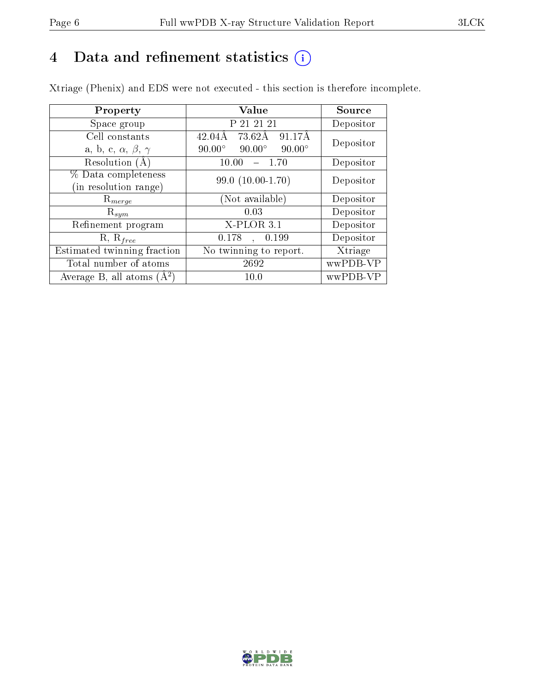# 4 Data and refinement statistics  $(i)$

Xtriage (Phenix) and EDS were not executed - this section is therefore incomplete.

| Property                               | <b>Value</b>                                    | Source    |  |
|----------------------------------------|-------------------------------------------------|-----------|--|
| Space group                            | P 21 21 21                                      | Depositor |  |
| Cell constants                         | $42.04\text{\AA}$<br>73.62Å<br>91.17Å           | Depositor |  |
| a, b, c, $\alpha$ , $\beta$ , $\gamma$ | $90.00^\circ$<br>$90.00^\circ$<br>$90.00^\circ$ |           |  |
| Resolution $(A)$                       | 10.00<br>- 1.70                                 | Depositor |  |
| % Data completeness                    | $99.0(10.00-1.70)$                              | Depositor |  |
| (in resolution range)                  |                                                 |           |  |
| $\mathrm{R}_{merge}$                   | (Not available)                                 | Depositor |  |
| $\mathrm{R}_{sym}$                     | 0.03                                            | Depositor |  |
| Refinement program                     | $X$ -PLOR 3.1                                   | Depositor |  |
| $R, R_{free}$                          | 0.178<br>0.199<br>$\mathcal{L}$                 | Depositor |  |
| Estimated twinning fraction            | No twinning to report.                          | Xtriage   |  |
| Total number of atoms                  | 2692                                            | wwPDB-VP  |  |
| Average B, all atoms $(A^2)$           | 10.0                                            | wwPDB-VP  |  |

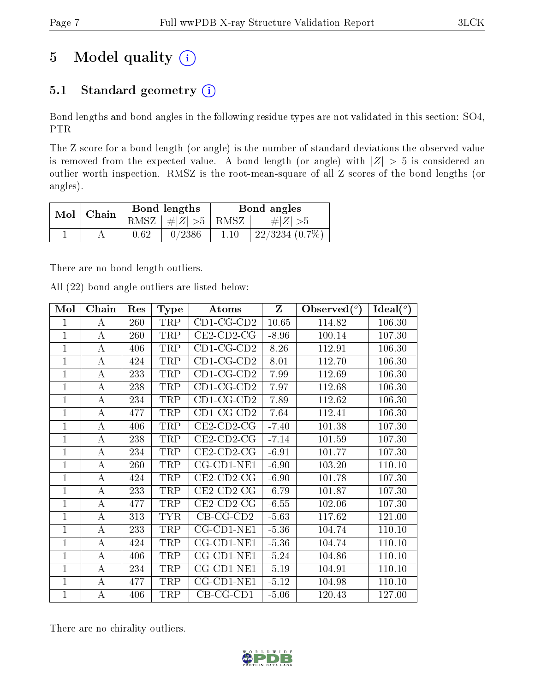# 5 Model quality  $(i)$

# 5.1 Standard geometry  $(i)$

Bond lengths and bond angles in the following residue types are not validated in this section: SO4, PTR

The Z score for a bond length (or angle) is the number of standard deviations the observed value is removed from the expected value. A bond length (or angle) with  $|Z| > 5$  is considered an outlier worth inspection. RMSZ is the root-mean-square of all Z scores of the bond lengths (or angles).

| $Mol$   Chain |          | Bond lengths                     | Bond angles |                  |  |
|---------------|----------|----------------------------------|-------------|------------------|--|
|               |          | RMSZ $\mid \#  Z  > 5 \mid$ RMSZ |             | $\# Z  > 5$      |  |
|               | $0.62\,$ | 0/2386                           | 1.10        | $22/3234(0.7\%)$ |  |

There are no bond length outliers.

All (22) bond angle outliers are listed below:

| Mol            | Chain | Res | <b>Type</b> | Atoms                | $\mathbf{Z}$ | Observed $(°)$ | $\text{Ideal}({}^o)$ |
|----------------|-------|-----|-------------|----------------------|--------------|----------------|----------------------|
| 1              | А     | 260 | TRP         | $CD1-CG-CD2$         | 10.65        | 114.82         | 106.30               |
| $\mathbf{1}$   | A     | 260 | TRP         | $CE2$ -CD2-CG        | $-8.96$      | 100.14         | 107.30               |
| $\overline{1}$ | А     | 406 | TRP         | $CD1$ -CG-CD2        | 8.26         | 112.91         | 106.30               |
| 1              | А     | 424 | TRP         | $CD1$ -CG-CD2        | 8.01         | 112.70         | 106.30               |
| $\mathbf{1}$   | А     | 233 | TRP         | $CD1$ -CG-CD2        | 7.99         | 112.69         | 106.30               |
| 1              | А     | 238 | TRP         | $CD1-CG-CD2$         | 7.97         | 112.68         | 106.30               |
| $\mathbf 1$    | A     | 234 | TRP         | $CD1$ -CG-CD2        | 7.89         | 112.62         | 106.30               |
| $\overline{1}$ | А     | 477 | TRP         | $CD1$ -CG-CD2        | 7.64         | 112.41         | 106.30               |
| $\mathbf{1}$   | А     | 406 | TRP         | $CE2$ -CD2-CG        | $-7.40$      | 101.38         | 107.30               |
| $\mathbf{1}$   | А     | 238 | TRP         | $CE2$ -CD2-CG        | $-7.14$      | 101.59         | 107.30               |
| $\mathbf 1$    | А     | 234 | TRP         | $CE2$ -CD2-CG        | $-6.91$      | 101.77         | 107.30               |
| $\mathbf 1$    | A     | 260 | TRP         | $CG$ - $CD1$ - $NE1$ | $-6.90$      | 103.20         | 110.10               |
| $\overline{1}$ | А     | 424 | TRP         | $CE2$ -CD2-CG        | $-6.90$      | 101.78         | 107.30               |
| $\mathbf{1}$   | А     | 233 | TRP         | $CE2$ -CD2-CG        | $-6.79$      | 101.87         | 107.30               |
| $\mathbf{1}$   | А     | 477 | TRP         | $CE2$ -CD2-CG        | $-6.55$      | 102.06         | 107.30               |
| $\mathbf 1$    | А     | 313 | <b>TYR</b>  | $CB-CG-CD2$          | $-5.63$      | 117.62         | 121.00               |
| $\mathbf 1$    | A     | 233 | TRP         | $CG$ - $CD1$ - $NE1$ | $-5.36$      | 104.74         | 110.10               |
| $\mathbf{1}$   | А     | 424 | TRP         | $CG$ - $CD1$ - $NE1$ | $-5.36$      | 104.74         | 110.10               |
| 1              | А     | 406 | TRP         | $CG$ - $CD1$ - $NE1$ | $-5.24$      | 104.86         | 110.10               |
| $\mathbf{1}$   | А     | 234 | TRP         | $CG$ - $CD1$ - $NE1$ | $-5.19$      | 104.91         | 110.10               |
| $\mathbf 1$    | А     | 477 | TRP         | $CG$ - $CD1$ - $NE1$ | $-5.12$      | 104.98         | 110.10               |
| $\mathbf{1}$   | А     | 406 | TRP         | $CB-CG-CD1$          | $-5.06$      | 120.43         | 127.00               |

There are no chirality outliers.

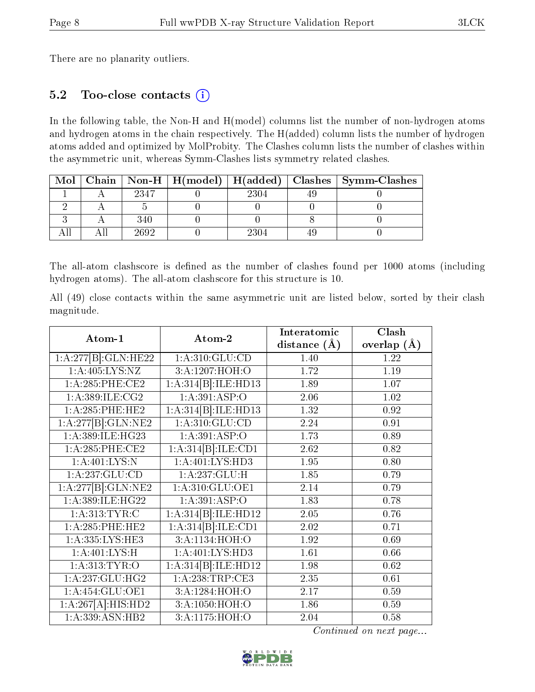There are no planarity outliers.

### 5.2 Too-close contacts (i)

In the following table, the Non-H and H(model) columns list the number of non-hydrogen atoms and hydrogen atoms in the chain respectively. The H(added) column lists the number of hydrogen atoms added and optimized by MolProbity. The Clashes column lists the number of clashes within the asymmetric unit, whereas Symm-Clashes lists symmetry related clashes.

| Mol |      |      | Chain   Non-H   H(model)   H(added)   Clashes   Symm-Clashes |
|-----|------|------|--------------------------------------------------------------|
|     | 2347 | 2304 |                                                              |
|     |      |      |                                                              |
|     | 340  |      |                                                              |
|     | 2692 | 2304 |                                                              |

The all-atom clashscore is defined as the number of clashes found per 1000 atoms (including hydrogen atoms). The all-atom clashscore for this structure is 10.

All (49) close contacts within the same asymmetric unit are listed below, sorted by their clash magnitude.

|                     |                     | Interatomic    | Clash           |
|---------------------|---------------------|----------------|-----------------|
| Atom-1              | Atom-2              | distance $(A)$ | overlap $(\AA)$ |
| 1:A:277[B]:GLN:HE22 | 1: A:310: GLU:CD    | 1.40           | 1.22            |
| 1: A:405: LYS: NZ   | 3:A:1207:HOH:O      | 1.72           | 1.19            |
| 1:A:285:PHE:CE2     | 1:A:314[B]:ILE:HD13 | 1.89           | 1.07            |
| 1: A: 389: ILE: CG2 | 1:A:391:ASP:O       | 2.06           | 1.02            |
| 1: A:285:PHE:HE2    | 1:A:314[B]:ILE:HD13 | 1.32           | 0.92            |
| 1:A:277[B]:GLN:NE2  | 1: A:310: GLU:CD    | 2.24           | 0.91            |
| 1:A:389:ILE:HG23    | 1:A:391:ASP:O       | 1.73           | 0.89            |
| 1:A:285:PHE:CE2     | 1:A:314[B]:ILE:CD1  | 2.62           | 0.82            |
| 1: A:401:LYS:N      | 1:A:401:LYS:HD3     | 1.95           | 0.80            |
| 1:A:237:GLU:CD      | 1:A:237:GLU:H       | 1.85           | 0.79            |
| 1:A:277[B]:GLN:NE2  | 1: A:310: GLU:OE1   | 2.14           | 0.79            |
| 1:A:389:ILE:HG22    | 1:A:391:ASP:O       | 1.83           | 0.78            |
| 1: A:313: TYR: C    | 1:A:314[B]:ILE:HD12 | 2.05           | 0.76            |
| 1: A:285:PHE:HE2    | 1:A:314[B]:ILE:CD1  | 2.02           | 0.71            |
| 1:A:335:LYS:HE3     | 3:A:1134:HOH:O      | 1.92           | 0.69            |
| 1: A:401:LYS:H      | 1:A:401:LYS:HD3     | 1.61           | 0.66            |
| 1: A: 313: TYR: O   | 1:A:314[B]:ILE:HD12 | 1.98           | 0.62            |
| 1:A:237:GLU:HG2     | 1:A:238:TRP:CE3     | 2.35           | 0.61            |
| 1:A:454:GLU:OE1     | 3:A:1284:HOH:O      | 2.17           | 0.59            |
| 1:A:267[A]:HIS:HD2  | 3:A:1050:HOH:O      | 1.86           | 0.59            |
| 1:A:339:ASN:HB2     | 3:A:1175:HOH:O      | 2.04           | 0.58            |

Continued on next page...

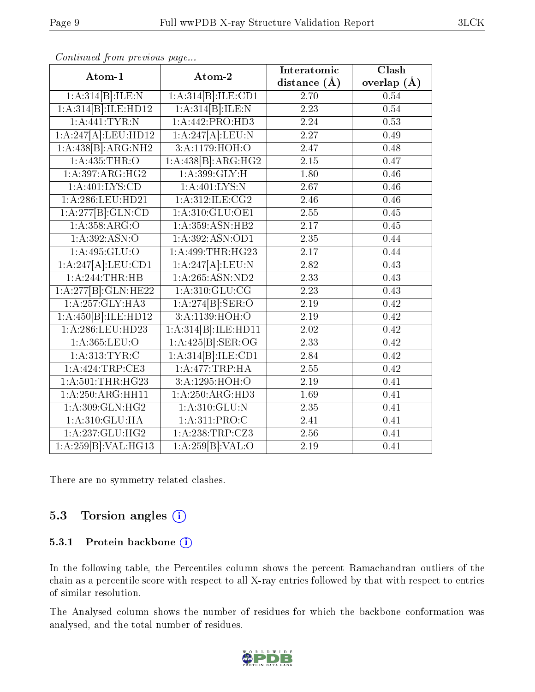| Atom-1                          | Atom-2                            | Interatomic       | Clash         |  |
|---------------------------------|-----------------------------------|-------------------|---------------|--|
|                                 |                                   | distance $(\AA)$  | overlap $(A)$ |  |
| 1:A:314[B]:ILE:N                | 1:A:314[B]:ILE:CD1                | 2.70              | 0.54          |  |
| 1:A:314[B]:ILE:HD12             | 1:A:314[B]:ILE:N                  | 2.23              | 0.54          |  |
| $1:$ A:441:TYR:N                | 1:A:442:PRO:HD3                   | 2.24              | 0.53          |  |
| 1:A:247[A]:LEU:HD12             | $1:A:247A$ :LEU:N                 | 2.27              | 0.49          |  |
| 1:A:438[B]:ARG:NH2              | 3:A:1179:HOH:O                    | 2.47              | 0.48          |  |
| 1: A: 435: THR:O                | 1:A:438[B]:ARG:HG2                | 2.15              | 0.47          |  |
| 1:A:397:ARG:HG2                 | 1: A:399: GLY: H                  | 1.80              | 0.46          |  |
| 1: A:401: LYS:CD                | 1: A:401:LYS:N                    | 2.67              | 0.46          |  |
| 1: A:286:LEU:HD21               | 1: A:312: ILE: CG2                | 2.46              | 0.46          |  |
| $1:A:277[B]\cdot GLN:CD$        | 1: A:310: GLU:OE1                 | 2.55              | 0.45          |  |
| 1: A: 358: ARG: O               | 1:A:359:ASN:HB2                   | 2.17              | 0.45          |  |
| 1:A:392:ASN:O                   | 1: A:392: ASN:OD1                 | 2.35              | 0.44          |  |
| 1:A:495:GLU:O                   | 1:A:499:THR:HG23                  | 2.17              | 0.44          |  |
| 1:A:247[A]:LEU:CD1              | 1:A:247[A]:LEU:N                  | 2.82              | 0.43          |  |
| 1:A:244:THR:HB                  | 1: A:265: ASN:ND2                 | 2.33              | 0.43          |  |
| 1:A:277[B]:GLN:HE22             | 1: A:310: GLU:CG                  | 2.23              | 0.43          |  |
| 1: A: 257: GLY: HA3             | 1:A:274[B]: <b>SER</b> : <b>O</b> | 2.19              | 0.42          |  |
| 1:A:450[B]:ILE:HD12             | 3:A:1139:HOH:O                    | 2.19              | 0.42          |  |
| $1: A:286: \overline{LEU}:HD23$ | 1:A:314[B]:ILE:HDI1               | $\overline{2.02}$ | 0.42          |  |
| 1:A:365:LEU:O                   | 1:A:425[B]: <b>SER:OG</b>         | 2.33              | 0.42          |  |
| 1: A:313: TYR: C                | 1:A:314[B]:ILE:CD1                | 2.84              | 0.42          |  |
| 1:A:424:TRP:CE3                 | 1:A:477:TRP:HA                    | 2.55              | 0.42          |  |
| 1: A:501:THR:HG23               | 3:A:1295:HOH:O                    | 2.19              | 0.41          |  |
| 1:A:250:ARG:HH11                | 1:A:250:ARG:HD3                   | 1.69              | 0.41          |  |
| 1: A:309: GLN: HG2              | 1: A:310: GLU:N                   | 2.35              | 0.41          |  |
| 1: A:310: GLU: HA               | 1: A:311: PRO:C                   | 2.41              | 0.41          |  |
| 1: A: 237: GLU: HG2             | 1:A:238:TRP:CZ3                   | 2.56              | 0.41          |  |
| 1:A:259[B]:VAL:HG13             | 1:A:259[B]:VAL:O                  | 2.19              | 0.41          |  |

Continued from previous page...

There are no symmetry-related clashes.

## 5.3 Torsion angles  $(i)$

#### 5.3.1 Protein backbone (i)

In the following table, the Percentiles column shows the percent Ramachandran outliers of the chain as a percentile score with respect to all X-ray entries followed by that with respect to entries of similar resolution.

The Analysed column shows the number of residues for which the backbone conformation was analysed, and the total number of residues.

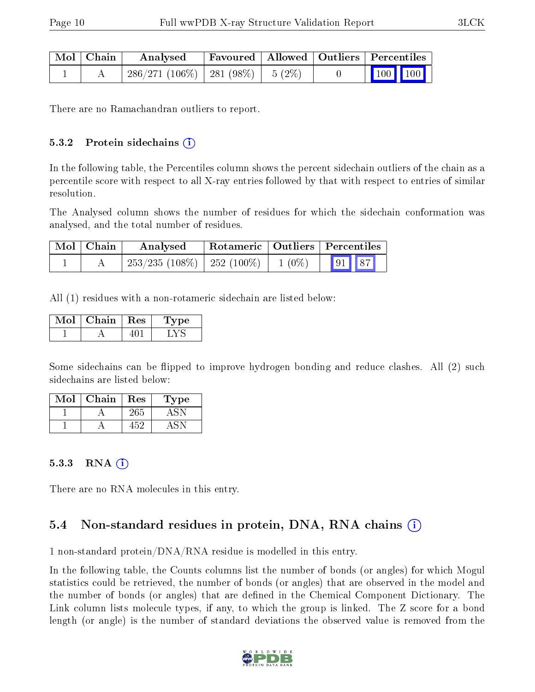| $^+$ Mol $\vert$ Chain $^-$ | Analysed                              |  | Favoured   Allowed   Outliers   Percentiles                |  |  |
|-----------------------------|---------------------------------------|--|------------------------------------------------------------|--|--|
|                             | $286/271(106\%)$   281 (98%)   5 (2%) |  | $\begin{array}{ c c c c }\n\hline\n100 & 100\n\end{array}$ |  |  |

There are no Ramachandran outliers to report.

#### $5.3.2$  Protein sidechains  $(i)$

In the following table, the Percentiles column shows the percent sidechain outliers of the chain as a percentile score with respect to all X-ray entries followed by that with respect to entries of similar resolution.

The Analysed column shows the number of residues for which the sidechain conformation was analysed, and the total number of residues.

| Mol   Chain | Analysed                        |          | $\perp$ Rotameric $\parallel$ Outliers $\parallel$ Percentiles |  |  |
|-------------|---------------------------------|----------|----------------------------------------------------------------|--|--|
|             | $253/235$ (108\%)   252 (100\%) | $1(0\%)$ | 91 87                                                          |  |  |

All (1) residues with a non-rotameric sidechain are listed below:

| Mol | Chain   Res | 'Type |
|-----|-------------|-------|
|     |             |       |

Some sidechains can be flipped to improve hydrogen bonding and reduce clashes. All (2) such sidechains are listed below:

| Mol | Chain | Res | Type |
|-----|-------|-----|------|
|     |       | 265 |      |
|     |       |     |      |

#### $5.3.3$  RNA  $(i)$

There are no RNA molecules in this entry.

# 5.4 Non-standard residues in protein, DNA, RNA chains (i)

1 non-standard protein/DNA/RNA residue is modelled in this entry.

In the following table, the Counts columns list the number of bonds (or angles) for which Mogul statistics could be retrieved, the number of bonds (or angles) that are observed in the model and the number of bonds (or angles) that are defined in the Chemical Component Dictionary. The Link column lists molecule types, if any, to which the group is linked. The Z score for a bond length (or angle) is the number of standard deviations the observed value is removed from the

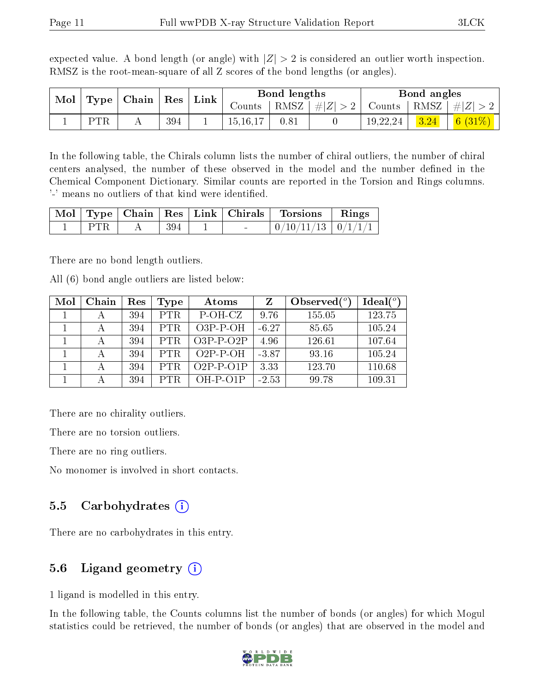expected value. A bond length (or angle) with  $|Z| > 2$  is considered an outlier worth inspection. RMSZ is the root-mean-square of all Z scores of the bond lengths (or angles).

|  | $\parallel$ Mol $\parallel$ Type $\parallel$ Chain $\parallel$ |  | $\mid$ $\operatorname{Res}$ | Link |          | Bond lengths |                 |          | Bond angles |                                                        |
|--|----------------------------------------------------------------|--|-----------------------------|------|----------|--------------|-----------------|----------|-------------|--------------------------------------------------------|
|  |                                                                |  |                             |      | Counts   |              | RMSZ $ #Z  > 2$ |          |             | $\vert$ Counts $\vert$ RMSZ $\vert \#  Z  > 2$ $\vert$ |
|  | <b>PTR</b>                                                     |  | 394                         |      | 15,16,17 |              |                 | 19,22,24 | 3.24        | $\mid$ $6 \ (31\%) \mid$                               |

In the following table, the Chirals column lists the number of chiral outliers, the number of chiral centers analysed, the number of these observed in the model and the number defined in the Chemical Component Dictionary. Similar counts are reported in the Torsion and Rings columns. '-' means no outliers of that kind were identified.

|      |        |  | Mol   Type   Chain   Res   Link   Chirals   Torsions   Rings |  |
|------|--------|--|--------------------------------------------------------------|--|
| PTR. | $+394$ |  | $\mid 0/10/11/13 \mid 0/1/1/1 \mid$                          |  |

There are no bond length outliers.

All (6) bond angle outliers are listed below:

| Mol | Chain | Res | Type       | Atoms       | Z       | Observed $(°)$ | Ideal $(°)$ |
|-----|-------|-----|------------|-------------|---------|----------------|-------------|
|     |       | 394 | <b>PTR</b> | P-OH-CZ     | 9.76    | 155.05         | 123.75      |
|     |       | 394 | <b>PTR</b> | $O3P-P-OH$  | $-6.27$ | 85.65          | 105.24      |
|     |       | 394 | <b>PTR</b> | $O3P-P-O2P$ | 4.96    | 126.61         | 107.64      |
|     |       | 394 | PTR.       | $O2P-P-OH$  | $-3.87$ | 93.16          | 105.24      |
|     |       | 394 | <b>PTR</b> | $O2P-P-O1P$ | 3.33    | 123.70         | 110.68      |
|     |       | 394 | <b>PTR</b> | $OH-P-O1P$  | $-2.53$ | 99.78          | 109.31      |

There are no chirality outliers.

There are no torsion outliers.

There are no ring outliers.

No monomer is involved in short contacts.

## 5.5 Carbohydrates  $(i)$

There are no carbohydrates in this entry.

## 5.6 Ligand geometry  $(i)$

1 ligand is modelled in this entry.

In the following table, the Counts columns list the number of bonds (or angles) for which Mogul statistics could be retrieved, the number of bonds (or angles) that are observed in the model and

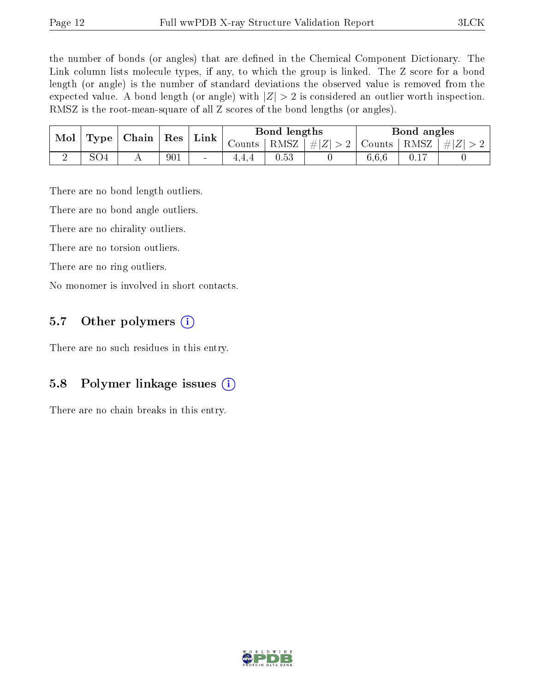the number of bonds (or angles) that are defined in the Chemical Component Dictionary. The Link column lists molecule types, if any, to which the group is linked. The Z score for a bond length (or angle) is the number of standard deviations the observed value is removed from the expected value. A bond length (or angle) with  $|Z| > 2$  is considered an outlier worth inspection. RMSZ is the root-mean-square of all Z scores of the bond lengths (or angles).

|  | Chain<br>Mol<br>$\Gamma$ Type $\Gamma$ |  | $\mathop{\rm Link}\nolimits$<br>${\rm Res}$ |        | Bond lengths |                  |  | Bond angles   |  |           |
|--|----------------------------------------|--|---------------------------------------------|--------|--------------|------------------|--|---------------|--|-----------|
|  |                                        |  |                                             |        | Counts       | $RMSZ \mid # Z $ |  | Counts   RMSZ |  | $\pm  Z $ |
|  | SO4                                    |  | 901                                         | $\sim$ | 4.4.4        | 0.53             |  | 6,6,6         |  |           |

There are no bond length outliers.

There are no bond angle outliers.

There are no chirality outliers.

There are no torsion outliers.

There are no ring outliers.

No monomer is involved in short contacts.

#### 5.7 [O](https://www.wwpdb.org/validation/2017/XrayValidationReportHelp#nonstandard_residues_and_ligands)ther polymers  $(i)$

There are no such residues in this entry.

### 5.8 Polymer linkage issues  $(i)$

There are no chain breaks in this entry.